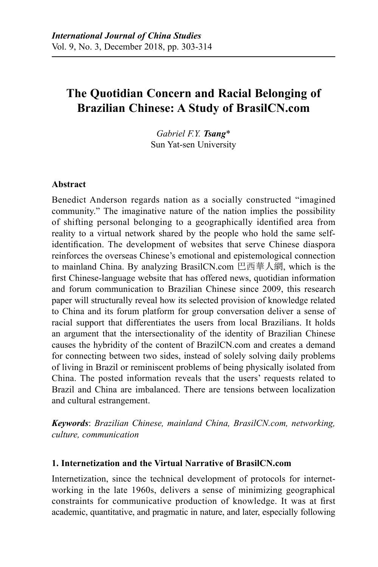# **The Quotidian Concern and Racial Belonging of Brazilian Chinese: A Study of BrasilCN.com**

*Gabriel F.Y. Tsang*\* Sun Yat-sen University

### **Abstract**

Benedict Anderson regards nation as a socially constructed "imagined community." The imaginative nature of the nation implies the possibility of shifting personal belonging to a geographically identified area from reality to a virtual network shared by the people who hold the same selfidentification. The development of websites that serve Chinese diaspora reinforces the overseas Chinese's emotional and epistemological connection to mainland China. By analyzing BrasilCN.com 巴西華人網, which is the first Chinese-language website that has offered news, quotidian information and forum communication to Brazilian Chinese since 2009, this research paper will structurally reveal how its selected provision of knowledge related to China and its forum platform for group conversation deliver a sense of racial support that differentiates the users from local Brazilians. It holds an argument that the intersectionality of the identity of Brazilian Chinese causes the hybridity of the content of BrazilCN.com and creates a demand for connecting between two sides, instead of solely solving daily problems of living in Brazil or reminiscent problems of being physically isolated from China. The posted information reveals that the users' requests related to Brazil and China are imbalanced. There are tensions between localization and cultural estrangement.

*Keywords*: *Brazilian Chinese, mainland China, BrasilCN.com, networking, culture, communication*

#### **1. Internetization and the Virtual Narrative of BrasilCN.com**

Internetization, since the technical development of protocols for internetworking in the late 1960s, delivers a sense of minimizing geographical constraints for communicative production of knowledge. It was at first academic, quantitative, and pragmatic in nature, and later, especially following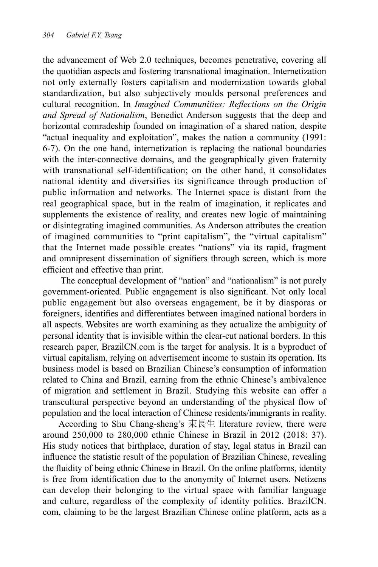the advancement of Web 2.0 techniques, becomes penetrative, covering all the quotidian aspects and fostering transnational imagination. Internetization not only externally fosters capitalism and modernization towards global standardization, but also subjectively moulds personal preferences and cultural recognition. In *Imagined Communities: Reflections on the Origin and Spread of Nationalism*, Benedict Anderson suggests that the deep and horizontal comradeship founded on imagination of a shared nation, despite "actual inequality and exploitation", makes the nation a community (1991: 6-7). On the one hand, internetization is replacing the national boundaries with the inter-connective domains, and the geographically given fraternity with transnational self-identification; on the other hand, it consolidates national identity and diversifies its significance through production of public information and networks. The Internet space is distant from the real geographical space, but in the realm of imagination, it replicates and supplements the existence of reality, and creates new logic of maintaining or disintegrating imagined communities. As Anderson attributes the creation of imagined communities to "print capitalism", the "virtual capitalism" that the Internet made possible creates "nations" via its rapid, fragment and omnipresent dissemination of signifiers through screen, which is more efficient and effective than print.

The conceptual development of "nation" and "nationalism" is not purely government-oriented. Public engagement is also significant. Not only local public engagement but also overseas engagement, be it by diasporas or foreigners, identifies and differentiates between imagined national borders in all aspects. Websites are worth examining as they actualize the ambiguity of personal identity that is invisible within the clear-cut national borders. In this research paper, BrazilCN.com is the target for analysis. It is a byproduct of virtual capitalism, relying on advertisement income to sustain its operation. Its business model is based on Brazilian Chinese's consumption of information related to China and Brazil, earning from the ethnic Chinese's ambivalence of migration and settlement in Brazil. Studying this website can offer a transcultural perspective beyond an understanding of the physical flow of population and the local interaction of Chinese residents/immigrants in reality.

According to Shu Chang-sheng's 束長生 literature review, there were around 250,000 to 280,000 ethnic Chinese in Brazil in 2012 (2018: 37). His study notices that birthplace, duration of stay, legal status in Brazil can influence the statistic result of the population of Brazilian Chinese, revealing the fluidity of being ethnic Chinese in Brazil. On the online platforms, identity is free from identification due to the anonymity of Internet users. Netizens can develop their belonging to the virtual space with familiar language and culture, regardless of the complexity of identity politics. BrazilCN. com, claiming to be the largest Brazilian Chinese online platform, acts as a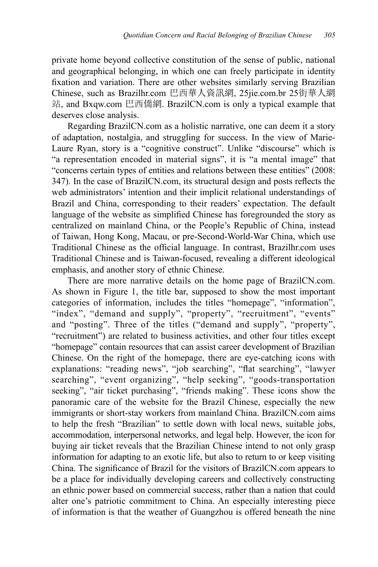private home beyond collective constitution of the sense of public, national and geographical belonging, in which one can freely participate in identity fixation and variation. There are other websites similarly serving Brazilian Chinese, such as Brazilhr.com 巴西華人資訊網, 25jie.com.br 25街華人網 站, and Bxqw.com 巴西僑網. BrazilCN.com is only a typical example that deserves close analysis.

Regarding BrazilCN.com as a holistic narrative, one can deem it a story of adaptation, nostalgia, and struggling for success. In the view of Marie-Laure Ryan, story is a "cognitive construct". Unlike "discourse" which is "a representation encoded in material signs", it is "a mental image" that "concerns certain types of entities and relations between these entities" (2008: 347). In the case of BrazilCN.com, its structural design and posts reflects the web administrators' intention and their implicit relational understandings of Brazil and China, corresponding to their readers' expectation. The default language of the website as simplified Chinese has foregrounded the story as centralized on mainland China, or the People's Republic of China, instead of Taiwan, Hong Kong, Macau, or pre-Second-World-War China, which use Traditional Chinese as the official language. In contrast, Brazilhr.com uses Traditional Chinese and is Taiwan-focused, revealing a different ideological emphasis, and another story of ethnic Chinese.

There are more narrative details on the home page of BrazilCN.com. As shown in Figure 1, the title bar, supposed to show the most important categories of information, includes the titles "homepage", "information", "index", "demand and supply", "property", "recruitment", "events" and "posting". Three of the titles ("demand and supply", "property", "recruitment") are related to business activities, and other four titles except "homepage" contain resources that can assist career development of Brazilian Chinese. On the right of the homepage, there are eye-catching icons with explanations: "reading news", "job searching", "flat searching", "lawyer searching", "event organizing", "help seeking", "goods-transportation seeking", "air ticket purchasing", "friends making". These icons show the panoramic care of the website for the Brazil Chinese, especially the new immigrants or short-stay workers from mainland China. BrazilCN.com aims to help the fresh "Brazilian" to settle down with local news, suitable jobs, accommodation, interpersonal networks, and legal help. However, the icon for buying air ticket reveals that the Brazilian Chinese intend to not only grasp information for adapting to an exotic life, but also to return to or keep visiting China. The significance of Brazil for the visitors of BrazilCN.com appears to be a place for individually developing careers and collectively constructing an ethnic power based on commercial success, rather than a nation that could alter one's patriotic commitment to China. An especially interesting piece of information is that the weather of Guangzhou is offered beneath the nine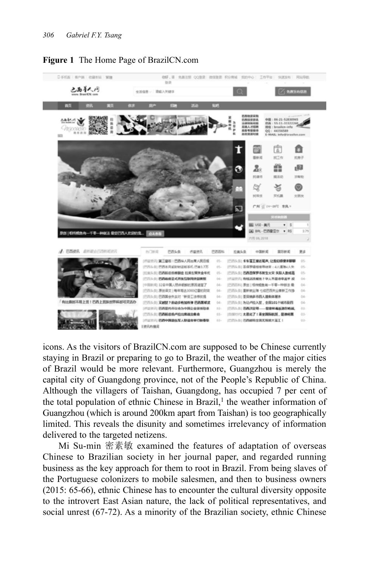

#### **Figure 1** The Home Page of BrazilCN.com

icons. As the visitors of BrazilCN.com are supposed to be Chinese currently staying in Brazil or preparing to go to Brazil, the weather of the major cities of Brazil would be more relevant. Furthermore, Guangzhou is merely the capital city of Guangdong province, not of the People's Republic of China. Although the villagers of Taishan, Guangdong, has occupied 7 per cent of the total population of ethnic Chinese in Brazil, $<sup>1</sup>$  the weather information of</sup> Guangzhou (which is around 200km apart from Taishan) is too geographically limited. This reveals the disunity and sometimes irrelevancy of information delivered to the targeted netizens.

Mi Su-min 密素敏 examined the features of adaptation of overseas Chinese to Brazilian society in her journal paper, and regarded running business as the key approach for them to root in Brazil. From being slaves of the Portuguese colonizers to mobile salesmen, and then to business owners (2015: 65-66), ethnic Chinese has to encounter the cultural diversity opposite to the introvert East Asian nature, the lack of political representatives, and social unrest (67-72). As a minority of the Brazilian society, ethnic Chinese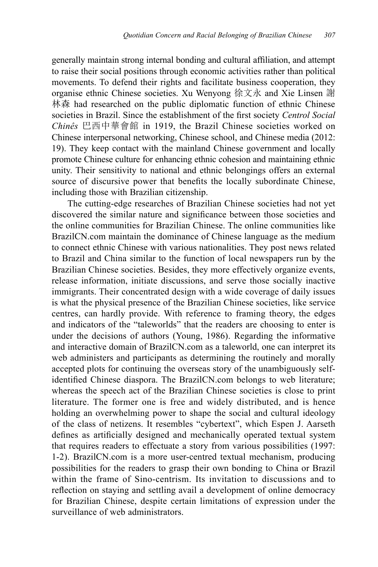generally maintain strong internal bonding and cultural affiliation, and attempt to raise their social positions through economic activities rather than political movements. To defend their rights and facilitate business cooperation, they organise ethnic Chinese societies. Xu Wenyong 徐文永 and Xie Linsen 謝 林森 had researched on the public diplomatic function of ethnic Chinese societies in Brazil. Since the establishment of the first society *Centrol Social Chinês* 巴西中華會館 in 1919, the Brazil Chinese societies worked on Chinese interpersonal networking, Chinese school, and Chinese media (2012: 19). They keep contact with the mainland Chinese government and locally promote Chinese culture for enhancing ethnic cohesion and maintaining ethnic unity. Their sensitivity to national and ethnic belongings offers an external source of discursive power that benefits the locally subordinate Chinese, including those with Brazilian citizenship.

The cutting-edge researches of Brazilian Chinese societies had not yet discovered the similar nature and significance between those societies and the online communities for Brazilian Chinese. The online communities like BrazilCN.com maintain the dominance of Chinese language as the medium to connect ethnic Chinese with various nationalities. They post news related to Brazil and China similar to the function of local newspapers run by the Brazilian Chinese societies. Besides, they more effectively organize events, release information, initiate discussions, and serve those socially inactive immigrants. Their concentrated design with a wide coverage of daily issues is what the physical presence of the Brazilian Chinese societies, like service centres, can hardly provide. With reference to framing theory, the edges and indicators of the "taleworlds" that the readers are choosing to enter is under the decisions of authors (Young, 1986). Regarding the informative and interactive domain of BrazilCN.com as a taleworld, one can interpret its web administers and participants as determining the routinely and morally accepted plots for continuing the overseas story of the unambiguously selfidentified Chinese diaspora. The BrazilCN.com belongs to web literature; whereas the speech act of the Brazilian Chinese societies is close to print literature. The former one is free and widely distributed, and is hence holding an overwhelming power to shape the social and cultural ideology of the class of netizens. It resembles "cybertext", which Espen J. Aarseth defines as artificially designed and mechanically operated textual system that requires readers to effectuate a story from various possibilities (1997: 1-2). BrazilCN.com is a more user-centred textual mechanism, producing possibilities for the readers to grasp their own bonding to China or Brazil within the frame of Sino-centrism. Its invitation to discussions and to reflection on staying and settling avail a development of online democracy for Brazilian Chinese, despite certain limitations of expression under the surveillance of web administrators.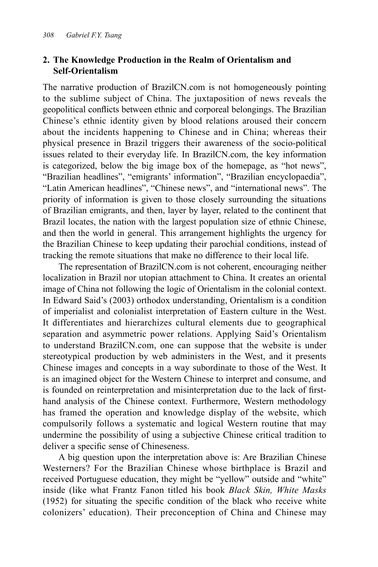# **2. The Knowledge Production in the Realm of Orientalism and Self-Orientalism**

The narrative production of BrazilCN.com is not homogeneously pointing to the sublime subject of China. The juxtaposition of news reveals the geopolitical conflicts between ethnic and corporeal belongings. The Brazilian Chinese's ethnic identity given by blood relations aroused their concern about the incidents happening to Chinese and in China; whereas their physical presence in Brazil triggers their awareness of the socio-political issues related to their everyday life. In BrazilCN.com, the key information is categorized, below the big image box of the homepage, as "hot news", "Brazilian headlines", "emigrants' information", "Brazilian encyclopaedia", "Latin American headlines", "Chinese news", and "international news". The priority of information is given to those closely surrounding the situations of Brazilian emigrants, and then, layer by layer, related to the continent that Brazil locates, the nation with the largest population size of ethnic Chinese, and then the world in general. This arrangement highlights the urgency for the Brazilian Chinese to keep updating their parochial conditions, instead of tracking the remote situations that make no difference to their local life.

The representation of BrazilCN.com is not coherent, encouraging neither localization in Brazil nor utopian attachment to China. It creates an oriental image of China not following the logic of Orientalism in the colonial context. In Edward Said's (2003) orthodox understanding, Orientalism is a condition of imperialist and colonialist interpretation of Eastern culture in the West. It differentiates and hierarchizes cultural elements due to geographical separation and asymmetric power relations. Applying Said's Orientalism to understand BrazilCN.com, one can suppose that the website is under stereotypical production by web administers in the West, and it presents Chinese images and concepts in a way subordinate to those of the West. It is an imagined object for the Western Chinese to interpret and consume, and is founded on reinterpretation and misinterpretation due to the lack of firsthand analysis of the Chinese context. Furthermore, Western methodology has framed the operation and knowledge display of the website, which compulsorily follows a systematic and logical Western routine that may undermine the possibility of using a subjective Chinese critical tradition to deliver a specific sense of Chineseness.

A big question upon the interpretation above is: Are Brazilian Chinese Westerners? For the Brazilian Chinese whose birthplace is Brazil and received Portuguese education, they might be "yellow" outside and "white" inside (like what Frantz Fanon titled his book *Black Skin, White Masks*  (1952) for situating the specific condition of the black who receive white colonizers' education). Their preconception of China and Chinese may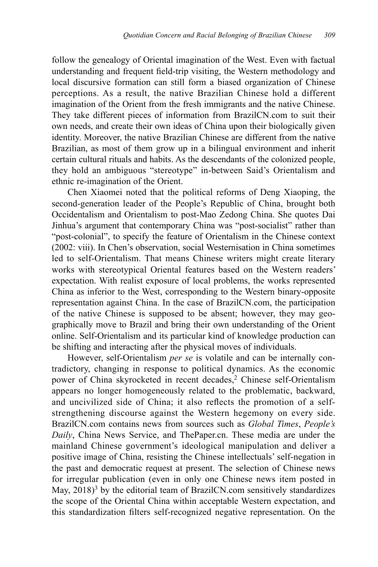follow the genealogy of Oriental imagination of the West. Even with factual understanding and frequent field-trip visiting, the Western methodology and local discursive formation can still form a biased organization of Chinese perceptions. As a result, the native Brazilian Chinese hold a different imagination of the Orient from the fresh immigrants and the native Chinese. They take different pieces of information from BrazilCN.com to suit their own needs, and create their own ideas of China upon their biologically given identity. Moreover, the native Brazilian Chinese are different from the native Brazilian, as most of them grow up in a bilingual environment and inherit certain cultural rituals and habits. As the descendants of the colonized people, they hold an ambiguous "stereotype" in-between Said's Orientalism and ethnic re-imagination of the Orient.

Chen Xiaomei noted that the political reforms of Deng Xiaoping, the second-generation leader of the People's Republic of China, brought both Occidentalism and Orientalism to post-Mao Zedong China. She quotes Dai Jinhua's argument that contemporary China was "post-socialist" rather than "post-colonial", to specify the feature of Orientalism in the Chinese context (2002: viii). In Chen's observation, social Westernisation in China sometimes led to self-Orientalism. That means Chinese writers might create literary works with stereotypical Oriental features based on the Western readers' expectation. With realist exposure of local problems, the works represented China as inferior to the West, corresponding to the Western binary-opposite representation against China. In the case of BrazilCN.com, the participation of the native Chinese is supposed to be absent; however, they may geographically move to Brazil and bring their own understanding of the Orient online. Self-Orientalism and its particular kind of knowledge production can be shifting and interacting after the physical moves of individuals.

However, self-Orientalism *per se* is volatile and can be internally contradictory, changing in response to political dynamics. As the economic power of China skyrocketed in recent decades,<sup>2</sup> Chinese self-Orientalism appears no longer homogeneously related to the problematic, backward, and uncivilized side of China; it also reflects the promotion of a selfstrengthening discourse against the Western hegemony on every side. BrazilCN.com contains news from sources such as *Global Times*, *People's Daily*, China News Service, and ThePaper.cn. These media are under the mainland Chinese government's ideological manipulation and deliver a positive image of China, resisting the Chinese intellectuals' self-negation in the past and democratic request at present. The selection of Chinese news for irregular publication (even in only one Chinese news item posted in May,  $2018$ <sup>3</sup> by the editorial team of BrazilCN.com sensitively standardizes the scope of the Oriental China within acceptable Western expectation, and this standardization filters self-recognized negative representation. On the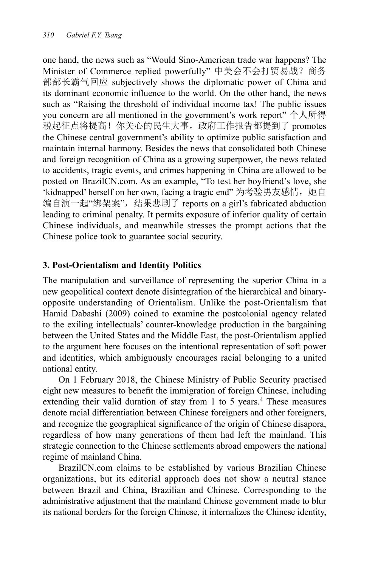one hand, the news such as "Would Sino-American trade war happens? The Minister of Commerce replied powerfully" 中美会不会打贸易战?商务 部部长霸气回应 subjectively shows the diplomatic power of China and its dominant economic influence to the world. On the other hand, the news such as "Raising the threshold of individual income tax! The public issues you concern are all mentioned in the government's work report" 个人所得 税起征点将提高!你关心的民生大事,政府工作报告都提到了 promotes the Chinese central government's ability to optimize public satisfaction and maintain internal harmony. Besides the news that consolidated both Chinese and foreign recognition of China as a growing superpower, the news related to accidents, tragic events, and crimes happening in China are allowed to be posted on BrazilCN.com. As an example, "To test her boyfriend's love, she 'kidnapped' herself on her own, facing a tragic end" 为考验男友感情, 她自 编自演一起"绑架案",结果悲剧了 reports on a girl's fabricated abduction leading to criminal penalty. It permits exposure of inferior quality of certain Chinese individuals, and meanwhile stresses the prompt actions that the Chinese police took to guarantee social security.

## **3. Post-Orientalism and Identity Politics**

The manipulation and surveillance of representing the superior China in a new geopolitical context denote disintegration of the hierarchical and binaryopposite understanding of Orientalism. Unlike the post-Orientalism that Hamid Dabashi (2009) coined to examine the postcolonial agency related to the exiling intellectuals' counter-knowledge production in the bargaining between the United States and the Middle East, the post-Orientalism applied to the argument here focuses on the intentional representation of soft power and identities, which ambiguously encourages racial belonging to a united national entity.

On 1 February 2018, the Chinese Ministry of Public Security practised eight new measures to benefit the immigration of foreign Chinese, including extending their valid duration of stay from 1 to 5 years.<sup>4</sup> These measures denote racial differentiation between Chinese foreigners and other foreigners, and recognize the geographical significance of the origin of Chinese disapora, regardless of how many generations of them had left the mainland. This strategic connection to the Chinese settlements abroad empowers the national regime of mainland China.

BrazilCN.com claims to be established by various Brazilian Chinese organizations, but its editorial approach does not show a neutral stance between Brazil and China, Brazilian and Chinese. Corresponding to the administrative adjustment that the mainland Chinese government made to blur its national borders for the foreign Chinese, it internalizes the Chinese identity,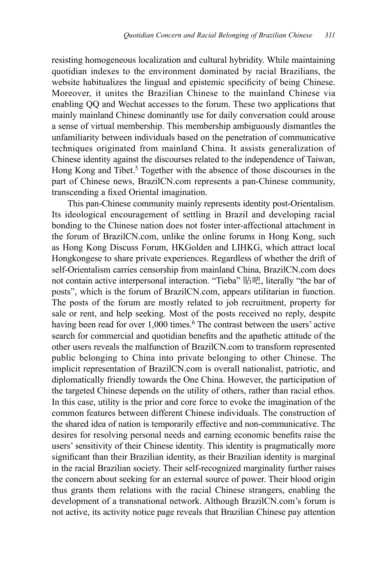resisting homogeneous localization and cultural hybridity. While maintaining quotidian indexes to the environment dominated by racial Brazilians, the website habitualizes the lingual and epistemic specificity of being Chinese. Moreover, it unites the Brazilian Chinese to the mainland Chinese via enabling QQ and Wechat accesses to the forum. These two applications that mainly mainland Chinese dominantly use for daily conversation could arouse a sense of virtual membership. This membership ambiguously dismantles the unfamiliarity between individuals based on the penetration of communicative techniques originated from mainland China. It assists generalization of Chinese identity against the discourses related to the independence of Taiwan, Hong Kong and Tibet.<sup>5</sup> Together with the absence of those discourses in the part of Chinese news, BrazilCN.com represents a pan-Chinese community, transcending a fixed Oriental imagination.

This pan-Chinese community mainly represents identity post-Orientalism. Its ideological encouragement of settling in Brazil and developing racial bonding to the Chinese nation does not foster inter-affectional attachment in the forum of BrazilCN.com, unlike the online forums in Hong Kong, such as Hong Kong Discuss Forum, HKGolden and LIHKG, which attract local Hongkongese to share private experiences. Regardless of whether the drift of self-Orientalism carries censorship from mainland China, BrazilCN.com does not contain active interpersonal interaction. "Tieba" 貼吧, literally "the bar of posts", which is the forum of BrazilCN.com, appears utilitarian in function. The posts of the forum are mostly related to job recruitment, property for sale or rent, and help seeking. Most of the posts received no reply, despite having been read for over 1,000 times.<sup>6</sup> The contrast between the users' active search for commercial and quotidian benefits and the apathetic attitude of the other users reveals the malfunction of BrazilCN.com to transform represented public belonging to China into private belonging to other Chinese. The implicit representation of BrazilCN.com is overall nationalist, patriotic, and diplomatically friendly towards the One China. However, the participation of the targeted Chinese depends on the utility of others, rather than racial ethos. In this case, utility is the prior and core force to evoke the imagination of the common features between different Chinese individuals. The construction of the shared idea of nation is temporarily effective and non-communicative. The desires for resolving personal needs and earning economic benefits raise the users' sensitivity of their Chinese identity. This identity is pragmatically more significant than their Brazilian identity, as their Brazilian identity is marginal in the racial Brazilian society. Their self-recognized marginality further raises the concern about seeking for an external source of power. Their blood origin thus grants them relations with the racial Chinese strangers, enabling the development of a transnational network. Although BrazilCN.com's forum is not active, its activity notice page reveals that Brazilian Chinese pay attention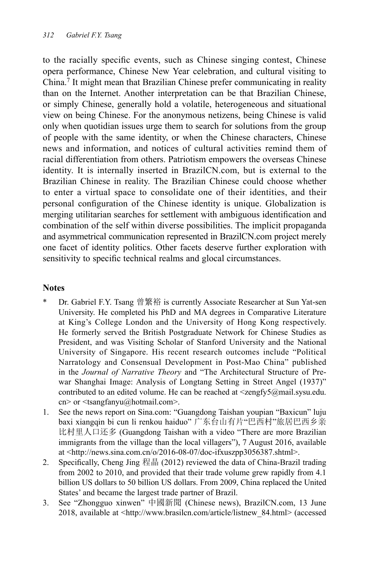to the racially specific events, such as Chinese singing contest, Chinese opera performance, Chinese New Year celebration, and cultural visiting to China.<sup>7</sup> It might mean that Brazilian Chinese prefer communicating in reality than on the Internet. Another interpretation can be that Brazilian Chinese, or simply Chinese, generally hold a volatile, heterogeneous and situational view on being Chinese. For the anonymous netizens, being Chinese is valid only when quotidian issues urge them to search for solutions from the group of people with the same identity, or when the Chinese characters, Chinese news and information, and notices of cultural activities remind them of racial differentiation from others. Patriotism empowers the overseas Chinese identity. It is internally inserted in BrazilCN.com, but is external to the Brazilian Chinese in reality. The Brazilian Chinese could choose whether to enter a virtual space to consolidate one of their identities, and their personal configuration of the Chinese identity is unique. Globalization is merging utilitarian searches for settlement with ambiguous identification and combination of the self within diverse possibilities. The implicit propaganda and asymmetrical communication represented in BrazilCN.com project merely one facet of identity politics. Other facets deserve further exploration with sensitivity to specific technical realms and glocal circumstances.

#### **Notes**

- Dr. Gabriel F.Y. Tsang 曾繁裕 is currently Associate Researcher at Sun Yat-sen University. He completed his PhD and MA degrees in Comparative Literature at King's College London and the University of Hong Kong respectively. He formerly served the British Postgraduate Network for Chinese Studies as President, and was Visiting Scholar of Stanford University and the National University of Singapore. His recent research outcomes include "Political Narratology and Consensual Development in Post-Mao China" published in the *Journal of Narrative Theory* and "The Architectural Structure of Prewar Shanghai Image: Analysis of Longtang Setting in Street Angel (1937)" contributed to an edited volume. He can be reached at  $\langle z \rangle = \langle \hat{z} \rangle$  and  $\langle \hat{z} \rangle$  and  $\langle \hat{z} \rangle$  and  $\langle \hat{z} \rangle$ cn> or <tsangfanyu@hotmail.com>.
- 1. See the news report on Sina.com: "Guangdong Taishan youpian "Baxicun" luju baxi xiangqin bi cun li renkou haiduo" 广东台山有片"巴西村"旅居巴西乡亲 比村里人口还多 (Guangdong Taishan with a video "There are more Brazilian immigrants from the village than the local villagers"), 7 August 2016, available at <http://news.sina.com.cn/o/2016-08-07/doc-ifxuszpp3056387.shtml>.
- 2. Specifically, Cheng Jing 程晶 (2012) reviewed the data of China-Brazil trading from 2002 to 2010, and provided that their trade volume grew rapidly from 4.1 billion US dollars to 50 billion US dollars. From 2009, China replaced the United States' and became the largest trade partner of Brazil.
- 3. See "Zhongguo xinwen" 中國新聞 (Chinese news), BrazilCN.com, 13 June 2018, available at <http://www.brasilcn.com/article/listnew\_84.html> (accessed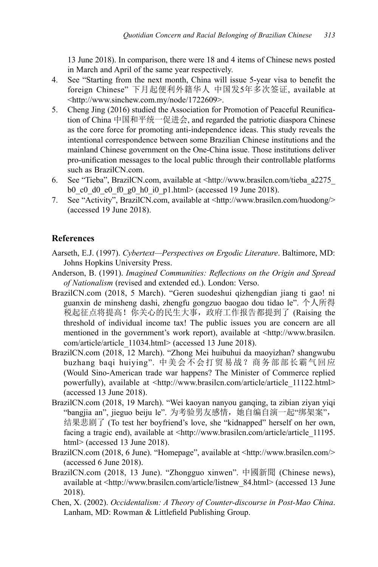13 June 2018). In comparison, there were 18 and 4 items of Chinese news posted in March and April of the same year respectively.

- 4. See "Starting from the next month, China will issue 5-year visa to benefit the foreign Chinese" 下月起便利外籍华人 中国发5年多次签证, available at <http://www.sinchew.com.my/node/1722609>.
- 5. Cheng Jing (2016) studied the Association for Promotion of Peaceful Reunification of China 中国和平统一促进会, and regarded the patriotic diaspora Chinese as the core force for promoting anti-independence ideas. This study reveals the intentional correspondence between some Brazilian Chinese institutions and the mainland Chinese government on the One-China issue. Those institutions deliver pro-unification messages to the local public through their controllable platforms such as BrazilCN.com.
- 6. See "Tieba", BrazilCN.com, available at <http://www.brasilcn.com/tieba\_a2275\_ b0 c0 d0 e0 f0 g0 h0 i0 p1.html> (accessed 19 June 2018).
- 7. See "Activity", BrazilCN.com, available at <http://www.brasilcn.com/huodong/> (accessed 19 June 2018).

# **References**

- Aarseth, E.J. (1997). *Cybertext—Perspectives on Ergodic Literature*. Baltimore, MD: Johns Hopkins University Press.
- Anderson, B. (1991). *Imagined Communities: Reflections on the Origin and Spread of Nationalism* (revised and extended ed.). London: Verso.
- BrazilCN.com (2018, 5 March). "Geren suodeshui qizhengdian jiang ti gao! ni guanxin de minsheng dashi, zhengfu gongzuo baogao dou tidao le". 个人所得 税起征点将提高!你关心的民生大事,政府工作报告都提到了 (Raising the threshold of individual income tax! The public issues you are concern are all mentioned in the government's work report), available at <http://www.brasilcn. com/article/article\_11034.html> (accessed 13 June 2018).
- BrazilCN.com (2018, 12 March). "Zhong Mei huibuhui da maoyizhan? shangwubu buzhang baqi huiying". 中美会不会打贸易战?商务部部长霸气回应 (Would Sino-American trade war happens? The Minister of Commerce replied powerfully), available at <http://www.brasilcn.com/article/article\_11122.html> (accessed 13 June 2018).
- BrazilCN.com (2018, 19 March). "Wei kaoyan nanyou ganqing, ta zibian ziyan yiqi "bangjia an", jieguo beiju le". 为考验男友感情,她自编自演一起"绑架案", 结果悲剧了 (To test her boyfriend's love, she "kidnapped" herself on her own, facing a tragic end), available at <http://www.brasilcn.com/article/article 11195. html> (accessed 13 June 2018).
- BrazilCN.com (2018, 6 June). "Homepage", available at <http://www.brasilcn.com/> (accessed 6 June 2018).
- BrazilCN.com (2018, 13 June). "Zhongguo xinwen". 中國新聞 (Chinese news), available at <http://www.brasilcn.com/article/listnew\_84.html> (accessed 13 June 2018).
- Chen, X. (2002). *Occidentalism: A Theory of Counter-discourse in Post-Mao China*. Lanham, MD: Rowman & Littlefield Publishing Group.